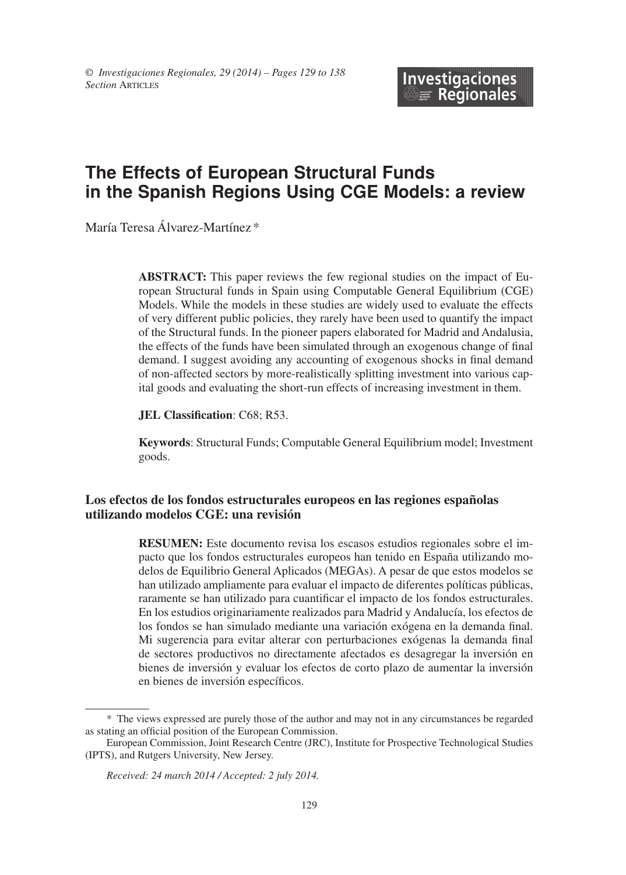# **The Effects of European Structural Funds in the Spanish Regions Using CGE Models: a review**

María Teresa Álvarez-Martínez \*

**ABSTRACT:** This paper reviews the few regional studies on the impact of European Structural funds in Spain using Computable General Equilibrium (CGE) Models. While the models in these studies are widely used to evaluate the effects of very different public policies, they rarely have been used to quantify the impact of the Structural funds. In the pioneer papers elaborated for Madrid and Andalusia, the effects of the funds have been simulated through an exogenous change of final demand. I suggest avoiding any accounting of exogenous shocks in final demand of non-affected sectors by more-realistically splitting investment into various capital goods and evaluating the short-run effects of increasing investment in them.

**JEL Classification**: C68; R53.

**Keywords**: Structural Funds; Computable General Equilibrium model; Investment goods.

#### **Los efectos de los fondos estructurales europeos en las regiones españolas utilizando modelos CGE: una revisión**

**RESUMEn:** Este documento revisa los escasos estudios regionales sobre el impacto que los fondos estructurales europeos han tenido en España utilizando modelos de Equilibrio General Aplicados (MEGAs). A pesar de que estos modelos se han utilizado ampliamente para evaluar el impacto de diferentes políticas públicas, raramente se han utilizado para cuantificar el impacto de los fondos estructurales. En los estudios originariamente realizados para Madrid y Andalucía, los efectos de los fondos se han simulado mediante una variación exógena en la demanda final. Mi sugerencia para evitar alterar con perturbaciones exógenas la demanda final de sectores productivos no directamente afectados es desagregar la inversión en bienes de inversión y evaluar los efectos de corto plazo de aumentar la inversión en bienes de inversión específicos.

<sup>\*</sup> The views expressed are purely those of the author and may not in any circumstances be regarded as stating an official position of the European Commission.

European Commission, Joint Research Centre (JRC), Institute for Prospective Technological Studies (IPTS), and Rutgers University, New Jersey.

*Received: 24 march 2014 / Accepted: 2 july 2014.*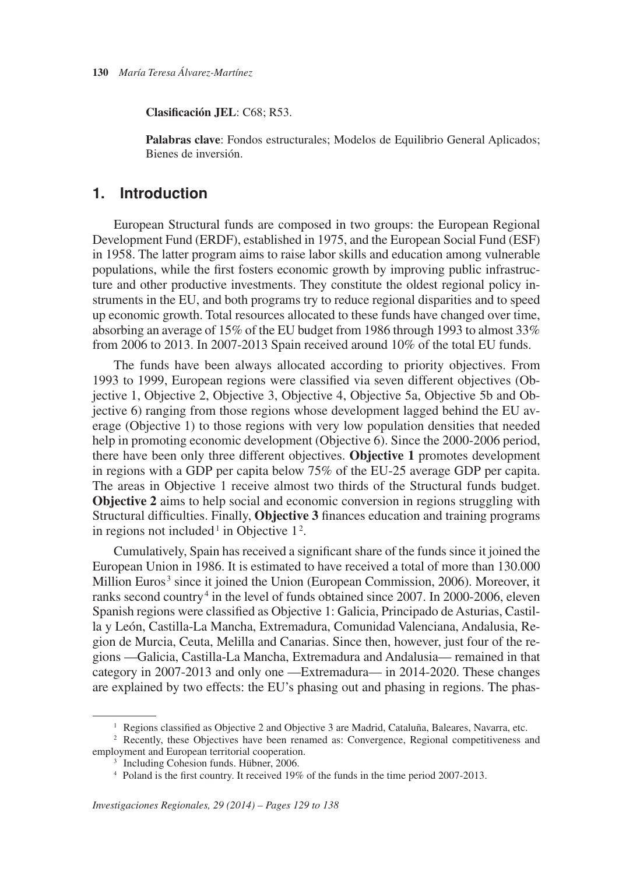**Clasificación JEL**: C68; R53.

**Palabras clave**: Fondos estructurales; Modelos de Equilibrio General Aplicados; Bienes de inversión.

### **1. Introduction**

European Structural funds are composed in two groups: the European Regional Development Fund (ERDF), established in 1975, and the European Social Fund (ESF) in 1958. The latter program aims to raise labor skills and education among vulnerable populations, while the first fosters economic growth by improving public infrastructure and other productive investments. They constitute the oldest regional policy instruments in the EU, and both programs try to reduce regional disparities and to speed up economic growth. Total resources allocated to these funds have changed over time, absorbing an average of 15% of the EU budget from 1986 through 1993 to almost 33% from 2006 to 2013. In 2007-2013 Spain received around 10% of the total EU funds.

in regions not included<sup>1</sup> in Objective  $1^2$ . The funds have been always allocated according to priority objectives. From 1993 to 1999, European regions were classified via seven different objectives (Objective 1, Objective 2, Objective 3, Objective 4, Objective 5a, Objective 5b and Objective 6) ranging from those regions whose development lagged behind the EU average (Objective 1) to those regions with very low population densities that needed help in promoting economic development (Objective 6). Since the 2000-2006 period, there have been only three different objectives. **Objective 1** promotes development in regions with a GDP per capita below 75% of the EU-25 average GDP per capita. The areas in Objective 1 receive almost two thirds of the Structural funds budget. **Objective 2** aims to help social and economic conversion in regions struggling with Structural difficulties. Finally, **Objective 3** finances education and training programs

Million Euros<sup>3</sup> since it joined the Union (European Commission, 2006). Moreover, it ranks second country<sup>4</sup> in the level of funds obtained since 2007. In 2000-2006, eleven Cumulatively, Spain has received a significant share of the funds since it joined the European Union in 1986. It is estimated to have received a total of more than 130.000 Spanish regions were classified as Objective 1: Galicia, Principado de Asturias, Castilla y León, Castilla-La Mancha, Extremadura, Comunidad Valenciana, Andalusia, Region de Murcia, Ceuta, Melilla and Canarias. Since then, however, just four of the regions —Galicia, Castilla-La Mancha, Extremadura and Andalusia— remained in that category in 2007-2013 and only one —Extremadura— in 2014-2020. These changes are explained by two effects: the EU's phasing out and phasing in regions. The phas-

<sup>&</sup>lt;sup>1</sup> Regions classified as Objective 2 and Objective 3 are Madrid, Cataluña, Baleares, Navarra, etc. <sup>2</sup> Recently, these Objectives have been renamed as: Convergence, Regional competitiveness and employment and European territorial cooperation.<br><sup>3</sup> Including Cohesion funds. Hübner, 2006.<br><sup>4</sup> Poland is the first country. It received 19% of the funds in the time period 2007-2013.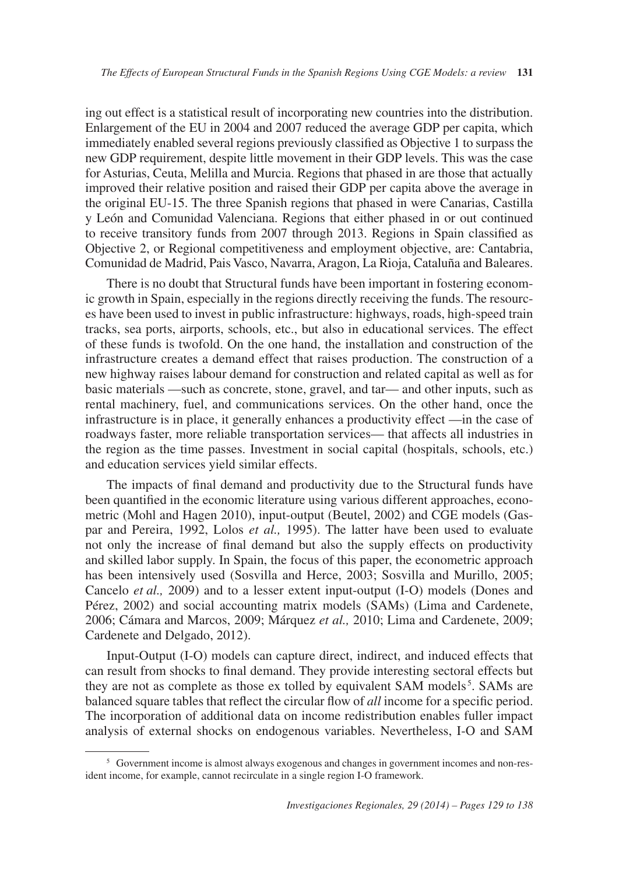ing out effect is a statistical result of incorporating new countries into the distribution. Enlargement of the EU in 2004 and 2007 reduced the average GDP per capita, which immediately enabled several regions previously classified as Objective 1 to surpass the new GDP requirement, despite little movement in their GDP levels. This was the case for Asturias, Ceuta, Melilla and Murcia. Regions that phased in are those that actually improved their relative position and raised their GDP per capita above the average in the original EU-15. The three Spanish regions that phased in were Canarias, Castilla y León and Comunidad Valenciana. Regions that either phased in or out continued to receive transitory funds from 2007 through 2013. Regions in Spain classified as Objective 2, or Regional competitiveness and employment objective, are: Cantabria, Comunidad de Madrid, Pais Vasco, Navarra, Aragon, La Rioja, Cataluña and Baleares.

There is no doubt that Structural funds have been important in fostering economic growth in Spain, especially in the regions directly receiving the funds. The resources have been used to invest in public infrastructure: highways, roads, high-speed train tracks, sea ports, airports, schools, etc., but also in educational services. The effect of these funds is twofold. On the one hand, the installation and construction of the infrastructure creates a demand effect that raises production. The construction of a new highway raises labour demand for construction and related capital as well as for basic materials —such as concrete, stone, gravel, and tar— and other inputs, such as rental machinery, fuel, and communications services. On the other hand, once the infrastructure is in place, it generally enhances a productivity effect —in the case of roadways faster, more reliable transportation services— that affects all industries in the region as the time passes. Investment in social capital (hospitals, schools, etc.) and education services yield similar effects.

The impacts of final demand and productivity due to the Structural funds have been quantified in the economic literature using various different approaches, econometric (Mohl and Hagen 2010), input-output (Beutel, 2002) and CGE models (Gaspar and Pereira, 1992, Lolos *et al.,* 1995). The latter have been used to evaluate not only the increase of final demand but also the supply effects on productivity and skilled labor supply. In Spain, the focus of this paper, the econometric approach has been intensively used (Sosvilla and Herce, 2003; Sosvilla and Murillo, 2005; Cancelo *et al.,* 2009) and to a lesser extent input-output (I-O) models (Dones and Pérez, 2002) and social accounting matrix models (SAMs) (Lima and Cardenete, 2006; Cámara and Marcos, 2009; Márquez *et al.,* 2010; Lima and Cardenete, 2009; Cardenete and Delgado, 2012).

they are not as complete as those ex tolled by equivalent SAM models<sup>5</sup>. SAMs are Input-Output (I-O) models can capture direct, indirect, and induced effects that can result from shocks to final demand. They provide interesting sectoral effects but balanced square tables that reflect the circular flow of *all* income for a specific period. The incorporation of additional data on income redistribution enables fuller impact analysis of external shocks on endogenous variables. Nevertheless, I-O and SAM

<sup>5</sup> Government income is almost always exogenous and changes in government incomes and non-resident income, for example, cannot recirculate in a single region I-O framework.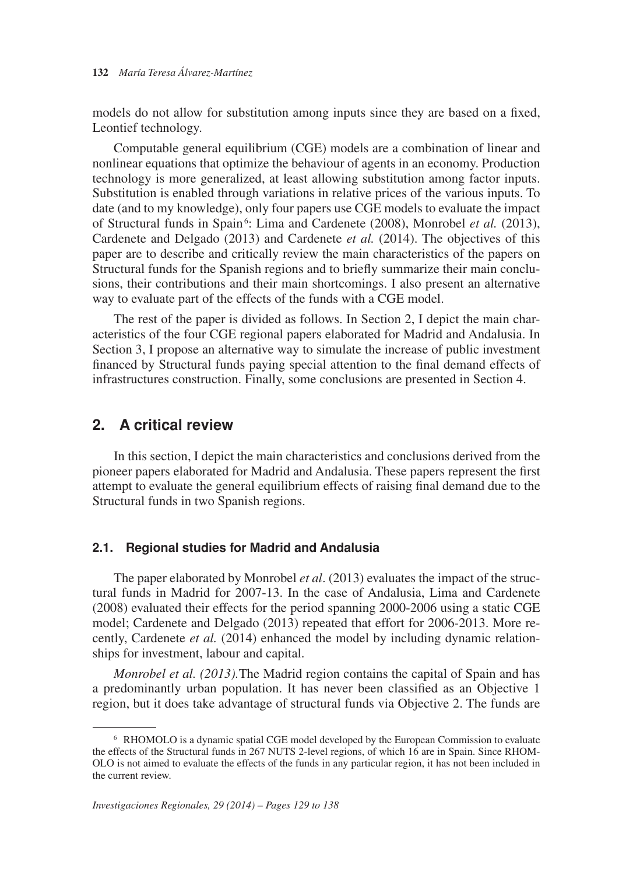models do not allow for substitution among inputs since they are based on a fixed, Leontief technology.

of Structural funds in Spain<sup>6</sup>: Lima and Cardenete (2008), Monrobel et al. (2013), Computable general equilibrium (CGE) models are a combination of linear and nonlinear equations that optimize the behaviour of agents in an economy. Production technology is more generalized, at least allowing substitution among factor inputs. Substitution is enabled through variations in relative prices of the various inputs. To date (and to my knowledge), only four papers use CGE models to evaluate the impact Cardenete and Delgado (2013) and Cardenete *et al.* (2014). The objectives of this paper are to describe and critically review the main characteristics of the papers on Structural funds for the Spanish regions and to briefly summarize their main conclusions, their contributions and their main shortcomings. I also present an alternative way to evaluate part of the effects of the funds with a CGE model.

The rest of the paper is divided as follows. In Section 2, I depict the main characteristics of the four CGE regional papers elaborated for Madrid and Andalusia. In Section 3, I propose an alternative way to simulate the increase of public investment financed by Structural funds paying special attention to the final demand effects of infrastructures construction. Finally, some conclusions are presented in Section 4.

## **2. A critical review**

In this section, I depict the main characteristics and conclusions derived from the pioneer papers elaborated for Madrid and Andalusia. These papers represent the first attempt to evaluate the general equilibrium effects of raising final demand due to the Structural funds in two Spanish regions.

#### **2.1. Regional studies for Madrid and Andalusia**

The paper elaborated by Monrobel *et al*. (2013) evaluates the impact of the structural funds in Madrid for 2007-13. In the case of Andalusia, Lima and Cardenete (2008) evaluated their effects for the period spanning 2000-2006 using a static CGE model; Cardenete and Delgado (2013) repeated that effort for 2006-2013. More recently, Cardenete et al. (2014) enhanced the model by including dynamic relationships for investment, labour and capital.

*Monrobel et al. (2013).*The Madrid region contains the capital of Spain and has a predominantly urban population. It has never been classified as an Objective 1 region, but it does take advantage of structural funds via Objective 2. The funds are

<sup>&</sup>lt;sup>6</sup> RHOMOLO is a dynamic spatial CGE model developed by the European Commission to evaluate the effects of the Structural funds in 267 NUTS 2-level regions, of which 16 are in Spain. Since RHOM-OLO is not aimed to evaluate the effects of the funds in any particular region, it has not been included in the current review.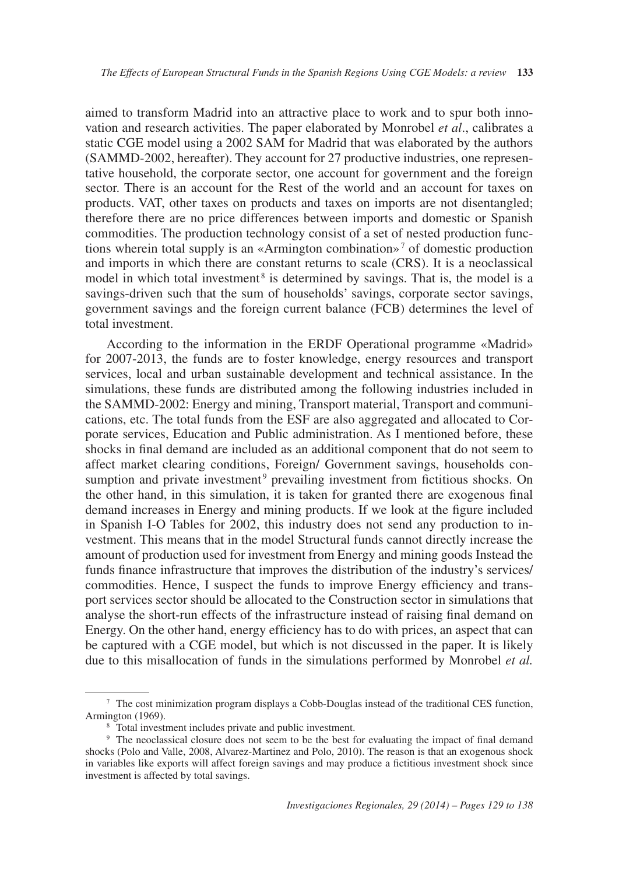tions wherein total supply is an «Armington combination»7 of domestic production model in which total investment<sup>8</sup> is determined by savings. That is, the model is a aimed to transform Madrid into an attractive place to work and to spur both innovation and research activities. The paper elaborated by Monrobel *et al*., calibrates a static CGE model using a 2002 SAM for Madrid that was elaborated by the authors (SAMMD-2002, hereafter). They account for 27 productive industries, one representative household, the corporate sector, one account for government and the foreign sector. There is an account for the Rest of the world and an account for taxes on products. VAT, other taxes on products and taxes on imports are not disentangled; therefore there are no price differences between imports and domestic or Spanish commodities. The production technology consist of a set of nested production funcand imports in which there are constant returns to scale (CRS). It is a neoclassical savings-driven such that the sum of households' savings, corporate sector savings, government savings and the foreign current balance (FCB) determines the level of total investment.

sumption and private investment<sup>9</sup> prevailing investment from fictitious shocks. On According to the information in the ERDF Operational programme «Madrid» for 2007-2013, the funds are to foster knowledge, energy resources and transport services, local and urban sustainable development and technical assistance. In the simulations, these funds are distributed among the following industries included in the SAMMD-2002: Energy and mining, Transport material, Transport and communications, etc. The total funds from the ESF are also aggregated and allocated to Corporate services, Education and Public administration. As I mentioned before, these shocks in final demand are included as an additional component that do not seem to affect market clearing conditions, Foreign/ Government savings, households conthe other hand, in this simulation, it is taken for granted there are exogenous final demand increases in Energy and mining products. If we look at the figure included in Spanish I-O Tables for 2002, this industry does not send any production to investment. This means that in the model Structural funds cannot directly increase the amount of production used for investment from Energy and mining goods Instead the funds finance infrastructure that improves the distribution of the industry's services/ commodities. Hence, I suspect the funds to improve Energy efficiency and transport services sector should be allocated to the Construction sector in simulations that analyse the short-run effects of the infrastructure instead of raising final demand on Energy. On the other hand, energy efficiency has to do with prices, an aspect that can be captured with a CGE model, but which is not discussed in the paper. It is likely due to this misallocation of funds in the simulations performed by Monrobel *et al.*

<sup>7</sup> The cost minimization program displays a Cobb-Douglas instead of the traditional CES function, Armington (1969).<br><sup>8</sup> Total investment includes private and public investment.<br><sup>9</sup> The neoclassical closure does not seem to be the best for evaluating the impact of final demand

shocks (Polo and Valle, 2008, Alvarez-Martinez and Polo, 2010). The reason is that an exogenous shock in variables like exports will affect foreign savings and may produce a fictitious investment shock since investment is affected by total savings.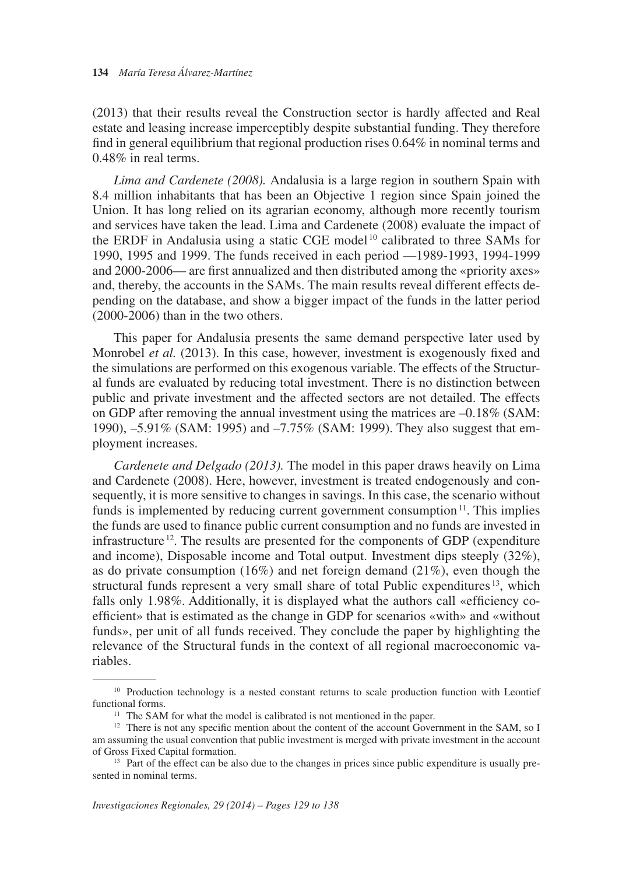(2013) that their results reveal the Construction sector is hardly affected and Real estate and leasing increase imperceptibly despite substantial funding. They therefore find in general equilibrium that regional production rises 0.64% in nominal terms and 0.48% in real terms.

 and services have taken the lead. Lima and Cardenete (2008) evaluate the impact of *Lima and Cardenete (2008).* Andalusia is a large region in southern Spain with 8.4 million inhabitants that has been an Objective 1 region since Spain joined the Union. It has long relied on its agrarian economy, although more recently tourism the ERDF in Andalusia using a static CGE model<sup>10</sup> calibrated to three SAMs for 1990, 1995 and 1999. The funds received in each period —1989-1993, 1994-1999 and 2000-2006— are first annualized and then distributed among the «priority axes» and, thereby, the accounts in the SAMs. The main results reveal different effects depending on the database, and show a bigger impact of the funds in the latter period (2000-2006) than in the two others.

This paper for Andalusia presents the same demand perspective later used by Monrobel *et al.* (2013). In this case, however, investment is exogenously fixed and the simulations are performed on this exogenous variable. The effects of the Structural funds are evaluated by reducing total investment. There is no distinction between public and private investment and the affected sectors are not detailed. The effects on GDP after removing the annual investment using the matrices are  $-0.18\%$  (SAM: 1990), –5.91% (SAM: 1995) and –7.75% (SAM: 1999). They also suggest that employment increases.

funds is implemented by reducing current government consumption<sup>11</sup>. This implies infrastructure<sup>12</sup>. The results are presented for the components of GDP (expenditure structural funds represent a very small share of total Public expenditures  $13$ , which *Cardenete and Delgado (2013).* The model in this paper draws heavily on Lima and Cardenete (2008). Here, however, investment is treated endogenously and consequently, it is more sensitive to changes in savings. In this case, the scenario without the funds are used to finance public current consumption and no funds are invested in and income), Disposable income and Total output. Investment dips steeply (32%), as do private consumption  $(16%)$  and net foreign demand  $(21%)$ , even though the falls only 1.98%. Additionally, it is displayed what the authors call «efficiency coefficient» that is estimated as the change in GDP for scenarios «with» and «without funds», per unit of all funds received. They conclude the paper by highlighting the relevance of the Structural funds in the context of all regional macroeconomic variables.

<sup>&</sup>lt;sup>10</sup> Production technology is a nested constant returns to scale production function with Leontief functional forms.

<sup>&</sup>lt;sup>11</sup> The SAM for what the model is calibrated is not mentioned in the paper.<br><sup>12</sup> There is not any specific mention about the content of the account Government in the SAM, so I am assuming the usual convention that public investment is merged with private investment in the account of Gross Fixed Capital formation.<br><sup>13</sup> Part of the effect can be also due to the changes in prices since public expenditure is usually pre-

sented in nominal terms.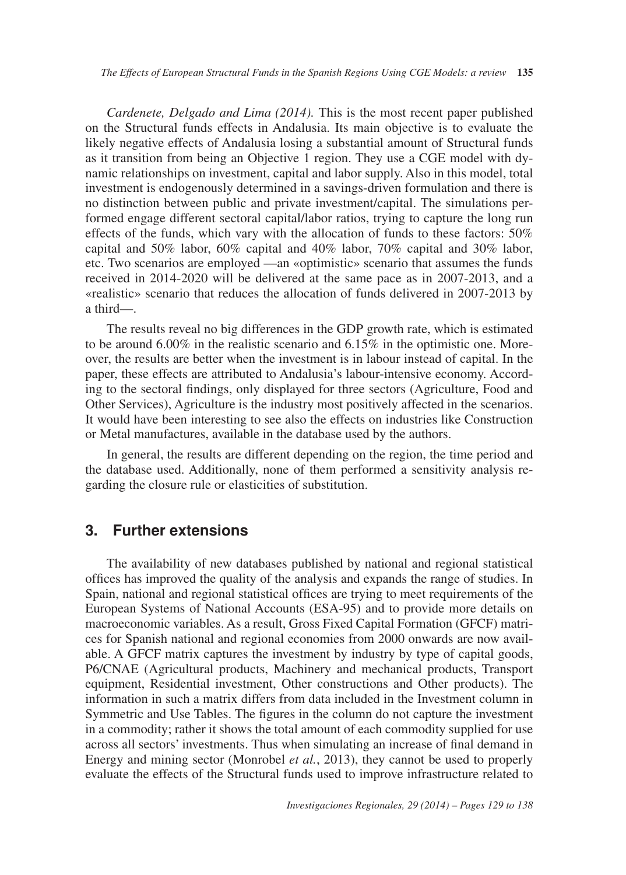*Cardenete, Delgado and Lima (2014).* This is the most recent paper published on the Structural funds effects in Andalusia. Its main objective is to evaluate the likely negative effects of Andalusia losing a substantial amount of Structural funds as it transition from being an Objective 1 region. They use a CGE model with dynamic relationships on investment, capital and labor supply. Also in this model, total investment is endogenously determined in a savings-driven formulation and there is no distinction between public and private investment/capital. The simulations performed engage different sectoral capital/labor ratios, trying to capture the long run effects of the funds, which vary with the allocation of funds to these factors: 50% capital and 50% labor, 60% capital and 40% labor, 70% capital and 30% labor, etc. Two scenarios are employed —an «optimistic» scenario that assumes the funds received in 2014-2020 will be delivered at the same pace as in 2007-2013, and a «realistic» scenario that reduces the allocation of funds delivered in 2007-2013 by a third—.

The results reveal no big differences in the GDP growth rate, which is estimated to be around 6.00% in the realistic scenario and 6.15% in the optimistic one. Moreover, the results are better when the investment is in labour instead of capital. In the paper, these effects are attributed to Andalusia's labour-intensive economy. According to the sectoral findings, only displayed for three sectors (Agriculture, Food and Other Services), Agriculture is the industry most positively affected in the scenarios. It would have been interesting to see also the effects on industries like Construction or Metal manufactures, available in the database used by the authors.

In general, the results are different depending on the region, the time period and the database used. Additionally, none of them performed a sensitivity analysis regarding the closure rule or elasticities of substitution.

### **3. Further extensions**

The availability of new databases published by national and regional statistical offices has improved the quality of the analysis and expands the range of studies. In Spain, national and regional statistical offices are trying to meet requirements of the European Systems of National Accounts (ESA-95) and to provide more details on macroeconomic variables. As a result, Gross Fixed Capital Formation (GFCF) matrices for Spanish national and regional economies from 2000 onwards are now available. A GFCF matrix captures the investment by industry by type of capital goods, P6/CNAE (Agricultural products, Machinery and mechanical products, Transport equipment, Residential investment, Other constructions and Other products). The information in such a matrix differs from data included in the Investment column in Symmetric and Use Tables. The figures in the column do not capture the investment in a commodity; rather it shows the total amount of each commodity supplied for use across all sectors' investments. Thus when simulating an increase of final demand in Energy and mining sector (Monrobel *et al.*, 2013), they cannot be used to properly evaluate the effects of the Structural funds used to improve infrastructure related to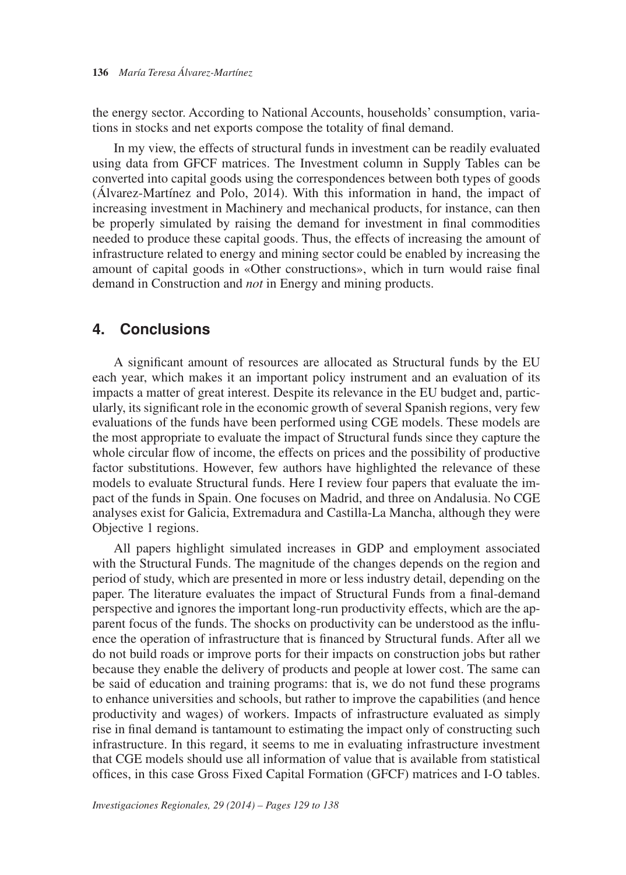the energy sector. According to National Accounts, households' consumption, variations in stocks and net exports compose the totality of final demand.

In my view, the effects of structural funds in investment can be readily evaluated using data from GFCF matrices. The Investment column in Supply Tables can be converted into capital goods using the correspondences between both types of goods (Álvarez-Martínez and Polo, 2014). With this information in hand, the impact of increasing investment in Machinery and mechanical products, for instance, can then be properly simulated by raising the demand for investment in final commodities needed to produce these capital goods. Thus, the effects of increasing the amount of infrastructure related to energy and mining sector could be enabled by increasing the amount of capital goods in «Other constructions», which in turn would raise final demand in Construction and *not* in Energy and mining products.

## **4. Conclusions**

A significant amount of resources are allocated as Structural funds by the EU each year, which makes it an important policy instrument and an evaluation of its impacts a matter of great interest. Despite its relevance in the EU budget and, particularly, its significant role in the economic growth of several Spanish regions, very few evaluations of the funds have been performed using CGE models. These models are the most appropriate to evaluate the impact of Structural funds since they capture the whole circular flow of income, the effects on prices and the possibility of productive factor substitutions. However, few authors have highlighted the relevance of these models to evaluate Structural funds. Here I review four papers that evaluate the impact of the funds in Spain. One focuses on Madrid, and three on Andalusia. No CGE analyses exist for Galicia, Extremadura and Castilla-La Mancha, although they were Objective 1 regions.

All papers highlight simulated increases in GDP and employment associated with the Structural Funds. The magnitude of the changes depends on the region and period of study, which are presented in more or less industry detail, depending on the paper. The literature evaluates the impact of Structural Funds from a final-demand perspective and ignores the important long-run productivity effects, which are the apparent focus of the funds. The shocks on productivity can be understood as the influence the operation of infrastructure that is financed by Structural funds. After all we do not build roads or improve ports for their impacts on construction jobs but rather because they enable the delivery of products and people at lower cost. The same can be said of education and training programs: that is, we do not fund these programs to enhance universities and schools, but rather to improve the capabilities (and hence productivity and wages) of workers. Impacts of infrastructure evaluated as simply rise in final demand is tantamount to estimating the impact only of constructing such infrastructure. In this regard, it seems to me in evaluating infrastructure investment that CGE models should use all information of value that is available from statistical offices, in this case Gross Fixed Capital Formation (GFCF) matrices and I-O tables.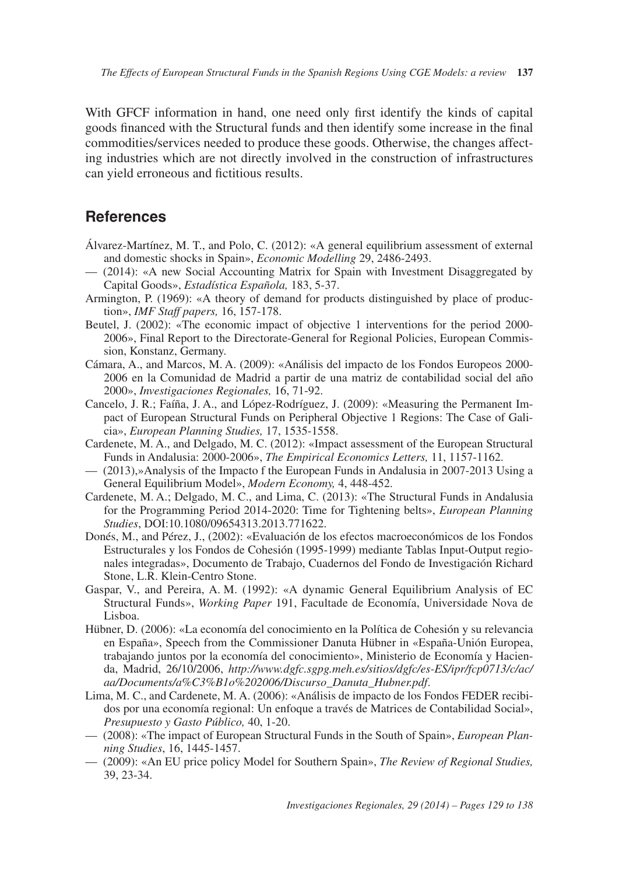With GFCF information in hand, one need only first identify the kinds of capital goods financed with the Structural funds and then identify some increase in the final commodities/services needed to produce these goods. Otherwise, the changes affecting industries which are not directly involved in the construction of infrastructures can yield erroneous and fictitious results.

## **References**

- Álvarez-Martínez, M. T., and Polo, C. (2012): «A general equilibrium assessment of external and domestic shocks in Spain», *Economic Modelling* 29, 2486-2493.
- (2014): «A new Social Accounting Matrix for Spain with Investment Disaggregated by Capital Goods», *Estadística Española,* 183, 5-37.
- Armington, P. (1969): «A theory of demand for products distinguished by place of production», *IMF Staff papers,* 16, 157-178.
- Beutel, J. (2002): «The economic impact of objective 1 interventions for the period 2000-2006», Final Report to the Directorate-General for Regional Policies, European Commission, Konstanz, Germany.
- Cámara, A., and Marcos, M. A. (2009): «Análisis del impacto de los Fondos Europeos 2000 2006 en la Comunidad de Madrid a partir de una matriz de contabilidad social del año 2000», *Investigaciones Regionales,* 16, 71-92.
- Cancelo, J. R.; Faíña, J. A., and López-Rodríguez, J. (2009): «Measuring the Permanent Impact of European Structural Funds on Peripheral Objective 1 Regions: The Case of Galicia», *European Planning Studies,* 17, 1535-1558.
- Cardenete, M. A., and Delgado, M. C. (2012): «Impact assessment of the European Structural Funds in Andalusia: 2000-2006», *The Empirical Economics Letters,* 11, 1157-1162.
- $-$  (2013),»Analysis of the Impacto f the European Funds in Andalusia in 2007-2013 Using a General Equilibrium Model», *Modern Economy,* 4, 448-452.
- Cardenete, M. A.; Delgado, M. C., and Lima, C. (2013): «The Structural Funds in Andalusia for the Programming Period 2014-2020: Time for Tightening belts», *European Planning Studies*, DOI:10.1080/09654313.2013.771622.
- Donés, M., and Pérez, J., (2002): «Evaluación de los efectos macroeconómicos de los Fondos Estructurales y los Fondos de Cohesión (1995-1999) mediante Tablas Input-Output regionales integradas», Documento de Trabajo, Cuadernos del Fondo de Investigación Richard Stone, L.R. Klein-Centro Stone.
- Gaspar, V., and Pereira, A. M. (1992): «A dynamic General Equilibrium Analysis of EC Structural Funds», *Working Paper* 191, Facultade de Economía, Universidade Nova de Lisboa.
- Hübner, D. (2006): «La economía del conocimiento en la Política de Cohesión y su relevancia en España», Speech from the Commissioner Danuta Hübner in «España-Unión Europea, trabajando juntos por la economía del conocimiento», Ministerio de Economía y Hacienda, Madrid, 26/10/2006, *http://www.dgfc.sgpg.meh.es/sitios/dgfc/es-ES/ipr/fcp0713/c/ac/ aa/Documents/a%C3%B1o%202006/Discurso\_Danuta\_Hubner.pdf*.
- Lima, M. C., and Cardenete, M. A. (2006): «Análisis de impacto de los Fondos FEDER recibidos por una economía regional: Un enfoque a través de Matrices de Contabilidad Social», *Presupuesto y Gasto Público,* 40, 1-20.
- $-$  (2008): «The impact of European Structural Funds in the South of Spain», *European Planning Studies*, 16, 1445-1457.
- — (2009): «An EU price policy Model for Southern Spain», *The Review of Regional Studies,* 39, 23-34.